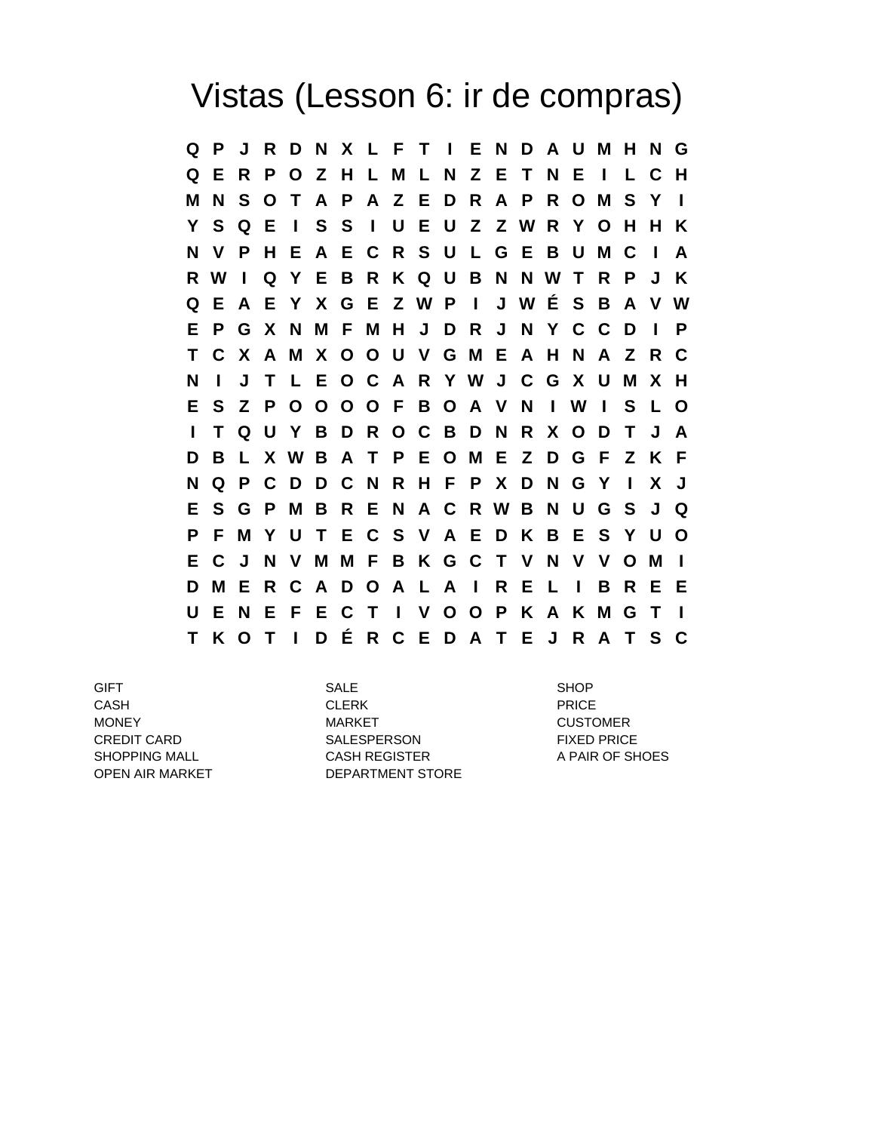## Vistas (Lesson 6: ir de compras)

**Q P J R D N X L F T I E N D A U M H N G Q E R P O Z H L M L N Z E T N E I L C H M N S O T A P A Z E D R A P R O M S Y I Y S Q E I S S I U E U Z Z W R Y O H H K N V P H E A E C R S U L G E B U M C I A R W I Q Y E B R K Q U B N N W T R P J K Q E A E Y X G E Z W P I J W É S B A V W E P G X N M F M H J D R J N Y C C D I P T C X A M X O O U V G M E A H N A Z R C N I J T L E O C A R Y W J C G X U M X H E S Z P O O O O F B O A V N I W I S L O I T Q U Y B D R O C B D N R X O D T J A D B L X W B A T P E O M E Z D G F Z K F N Q P C D D C N R H F P X D N G Y I X J E S G P M B R E N A C R W B N U G S J Q P F M Y U T E C S V A E D K B E S Y U O E C J N V M M F B K G C T V N V V O M I D M E R C A D O A L A I R E L I B R E E U E N E F E C T I V O O P K A K M G T I T K O T I D É R C E D A T E J R A T S C**

GIFT SALE SHOP CASH CLERK PRICE MONEY **MARKET** MARKET CUSTOMER CREDIT CARD **SALESPERSON** FIXED PRICE SHOPPING MALL CASH REGISTER A PAIR OF SHOES OPEN AIR MARKET DEPARTMENT STORE